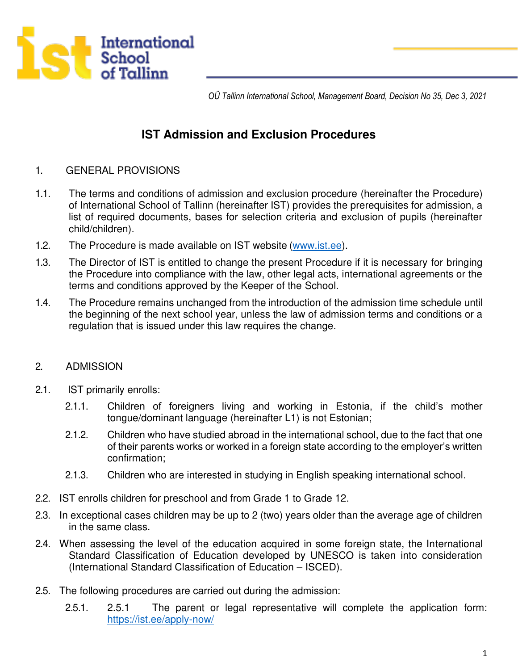

 *OÜ Tallinn International School, Management Board, Decision No 35, Dec 3, 2021* 

# **IST Admission and Exclusion Procedures**

- 1. GENERAL PROVISIONS
- 1.1. The terms and conditions of admission and exclusion procedure (hereinafter the Procedure) of International School of Tallinn (hereinafter IST) provides the prerequisites for admission, a list of required documents, bases for selection criteria and exclusion of pupils (hereinafter child/children).
- 1.2. The Procedure is made available on IST website (www.ist.ee).
- 1.3. The Director of IST is entitled to change the present Procedure if it is necessary for bringing the Procedure into compliance with the law, other legal acts, international agreements or the terms and conditions approved by the Keeper of the School.
- 1.4. The Procedure remains unchanged from the introduction of the admission time schedule until the beginning of the next school year, unless the law of admission terms and conditions or a regulation that is issued under this law requires the change.

#### 2. ADMISSION

- 2.1. IST primarily enrolls:
	- 2.1.1. Children of foreigners living and working in Estonia, if the child's mother tongue/dominant language (hereinafter L1) is not Estonian;
	- 2.1.2. Children who have studied abroad in the international school, due to the fact that one of their parents works or worked in a foreign state according to the employer's written confirmation;
	- 2.1.3. Children who are interested in studying in English speaking international school.
- 2.2. IST enrolls children for preschool and from Grade 1 to Grade 12.
- 2.3. In exceptional cases children may be up to 2 (two) years older than the average age of children in the same class.
- 2.4. When assessing the level of the education acquired in some foreign state, the International Standard Classification of Education developed by UNESCO is taken into consideration (International Standard Classification of Education – ISCED).
- 2.5. The following procedures are carried out during the admission:
	- 2.5.1. 2.5.1 The parent or legal representative will complete the application form: <https://ist.ee/apply-now/>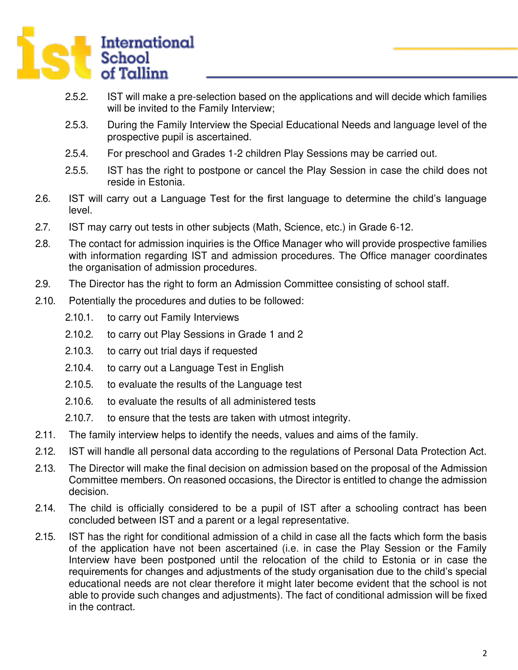

- 2.5.2. IST will make a pre-selection based on the applications and will decide which families will be invited to the Family Interview;
- 2.5.3. During the Family Interview the Special Educational Needs and language level of the prospective pupil is ascertained.
- 2.5.4. For preschool and Grades 1-2 children Play Sessions may be carried out.
- 2.5.5. IST has the right to postpone or cancel the Play Session in case the child does not reside in Estonia.
- 2.6. IST will carry out a Language Test for the first language to determine the child's language level.
- 2.7. IST may carry out tests in other subjects (Math, Science, etc.) in Grade 6-12.
- 2.8. The contact for admission inquiries is the Office Manager who will provide prospective families with information regarding IST and admission procedures. The Office manager coordinates the organisation of admission procedures.
- 2.9. The Director has the right to form an Admission Committee consisting of school staff.
- 2.10. Potentially the procedures and duties to be followed:
	- 2.10.1. to carry out Family Interviews
	- 2.10.2. to carry out Play Sessions in Grade 1 and 2
	- 2.10.3. to carry out trial days if requested
	- 2.10.4. to carry out a Language Test in English
	- 2.10.5. to evaluate the results of the Language test
	- 2.10.6. to evaluate the results of all administered tests
	- 2.10.7. to ensure that the tests are taken with utmost integrity.
- 2.11. The family interview helps to identify the needs, values and aims of the family.
- 2.12. IST will handle all personal data according to the regulations of Personal Data Protection Act.
- 2.13. The Director will make the final decision on admission based on the proposal of the Admission Committee members. On reasoned occasions, the Director is entitled to change the admission decision.
- 2.14. The child is officially considered to be a pupil of IST after a schooling contract has been concluded between IST and a parent or a legal representative.
- 2.15. IST has the right for conditional admission of a child in case all the facts which form the basis of the application have not been ascertained (i.e. in case the Play Session or the Family Interview have been postponed until the relocation of the child to Estonia or in case the requirements for changes and adjustments of the study organisation due to the child's special educational needs are not clear therefore it might later become evident that the school is not able to provide such changes and adjustments). The fact of conditional admission will be fixed in the contract.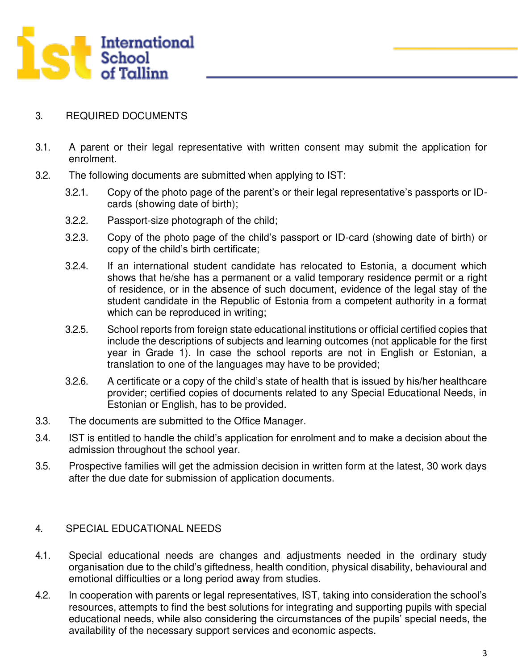

#### 3. REQUIRED DOCUMENTS

- 3.1. A parent or their legal representative with written consent may submit the application for enrolment.
- 3.2. The following documents are submitted when applying to IST:
	- 3.2.1. Copy of the photo page of the parent's or their legal representative's passports or IDcards (showing date of birth);
	- 3.2.2. Passport-size photograph of the child;
	- 3.2.3. Copy of the photo page of the child's passport or ID-card (showing date of birth) or copy of the child's birth certificate;
	- 3.2.4. If an international student candidate has relocated to Estonia, a document which shows that he/she has a permanent or a valid temporary residence permit or a right of residence, or in the absence of such document, evidence of the legal stay of the student candidate in the Republic of Estonia from a competent authority in a format which can be reproduced in writing;
	- 3.2.5. School reports from foreign state educational institutions or official certified copies that include the descriptions of subjects and learning outcomes (not applicable for the first year in Grade 1). In case the school reports are not in English or Estonian, a translation to one of the languages may have to be provided;
	- 3.2.6. A certificate or a copy of the child's state of health that is issued by his/her healthcare provider; certified copies of documents related to any Special Educational Needs, in Estonian or English, has to be provided.
- 3.3. The documents are submitted to the Office Manager.
- 3.4. IST is entitled to handle the child's application for enrolment and to make a decision about the admission throughout the school year.
- 3.5. Prospective families will get the admission decision in written form at the latest, 30 work days after the due date for submission of application documents.

#### 4. SPECIAL EDUCATIONAL NEEDS

- 4.1. Special educational needs are changes and adjustments needed in the ordinary study organisation due to the child's giftedness, health condition, physical disability, behavioural and emotional difficulties or a long period away from studies.
- 4.2. In cooperation with parents or legal representatives, IST, taking into consideration the school's resources, attempts to find the best solutions for integrating and supporting pupils with special educational needs, while also considering the circumstances of the pupils' special needs, the availability of the necessary support services and economic aspects.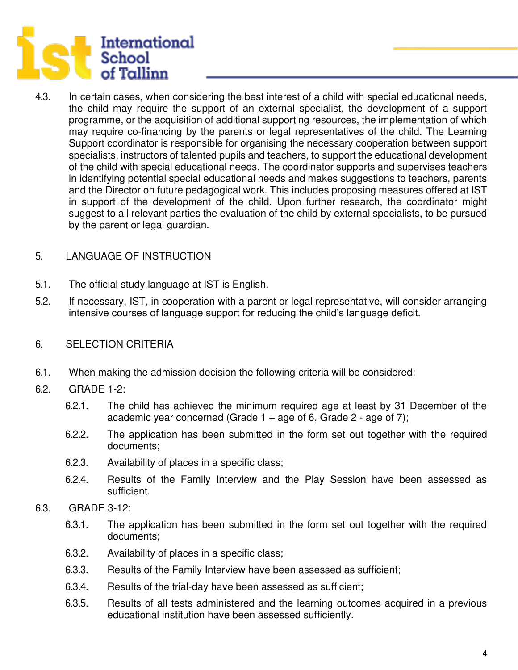

4.3. In certain cases, when considering the best interest of a child with special educational needs, the child may require the support of an external specialist, the development of a support programme, or the acquisition of additional supporting resources, the implementation of which may require co-financing by the parents or legal representatives of the child. The Learning Support coordinator is responsible for organising the necessary cooperation between support specialists, instructors of talented pupils and teachers, to support the educational development of the child with special educational needs. The coordinator supports and supervises teachers in identifying potential special educational needs and makes suggestions to teachers, parents and the Director on future pedagogical work. This includes proposing measures offered at IST in support of the development of the child. Upon further research, the coordinator might suggest to all relevant parties the evaluation of the child by external specialists, to be pursued by the parent or legal guardian.

## 5. LANGUAGE OF INSTRUCTION

- 5.1. The official study language at IST is English.
- 5.2. If necessary, IST, in cooperation with a parent or legal representative, will consider arranging intensive courses of language support for reducing the child's language deficit.
- 6. SELECTION CRITERIA
- 6.1. When making the admission decision the following criteria will be considered:
- 6.2. GRADE 1-2:
	- 6.2.1. The child has achieved the minimum required age at least by 31 December of the academic year concerned (Grade 1 – age of 6, Grade 2 - age of 7);
	- 6.2.2. The application has been submitted in the form set out together with the required documents;
	- 6.2.3. Availability of places in a specific class;
	- 6.2.4. Results of the Family Interview and the Play Session have been assessed as sufficient.
- 6.3. GRADE 3-12:
	- 6.3.1. The application has been submitted in the form set out together with the required documents;
	- 6.3.2. Availability of places in a specific class;
	- 6.3.3. Results of the Family Interview have been assessed as sufficient;
	- 6.3.4. Results of the trial-day have been assessed as sufficient;
	- 6.3.5. Results of all tests administered and the learning outcomes acquired in a previous educational institution have been assessed sufficiently.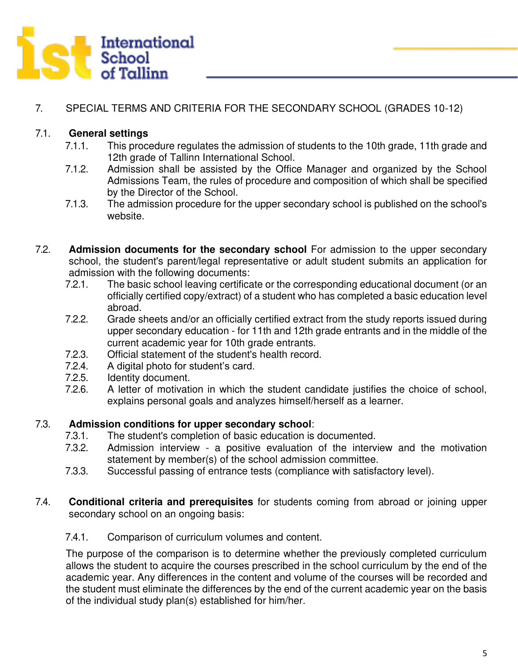

# 7. SPECIAL TERMS AND CRITERIA FOR THE SECONDARY SCHOOL (GRADES 10-12)

## 7.1. **General settings**

- 7.1.1. This procedure regulates the admission of students to the 10th grade, 11th grade and 12th grade of Tallinn International School.
- 7.1.2. Admission shall be assisted by the Office Manager and organized by the School Admissions Team, the rules of procedure and composition of which shall be specified by the Director of the School.
- 7.1.3. The admission procedure for the upper secondary school is published on the school's website.
- 7.2. **Admission documents for the secondary school** For admission to the upper secondary school, the student's parent/legal representative or adult student submits an application for admission with the following documents:
	- 7.2.1. The basic school leaving certificate or the corresponding educational document (or an officially certified copy/extract) of a student who has completed a basic education level abroad.
	- 7.2.2. Grade sheets and/or an officially certified extract from the study reports issued during upper secondary education - for 11th and 12th grade entrants and in the middle of the current academic year for 10th grade entrants.
	- 7.2.3. Official statement of the student's health record.
	- 7.2.4. A digital photo for student's card.<br>7.2.5. Identity document.
	- Identity document.
	- 7.2.6. A letter of motivation in which the student candidate justifies the choice of school, explains personal goals and analyzes himself/herself as a learner.

## 7.3. **Admission conditions for upper secondary school**:

- 7.3.1. The student's completion of basic education is documented.
- 7.3.2. Admission interview a positive evaluation of the interview and the motivation statement by member(s) of the school admission committee.
- 7.3.3. Successful passing of entrance tests (compliance with satisfactory level).
- 7.4. **Conditional criteria and prerequisites** for students coming from abroad or joining upper secondary school on an ongoing basis:
	- 7.4.1. Comparison of curriculum volumes and content.

The purpose of the comparison is to determine whether the previously completed curriculum allows the student to acquire the courses prescribed in the school curriculum by the end of the academic year. Any differences in the content and volume of the courses will be recorded and the student must eliminate the differences by the end of the current academic year on the basis of the individual study plan(s) established for him/her.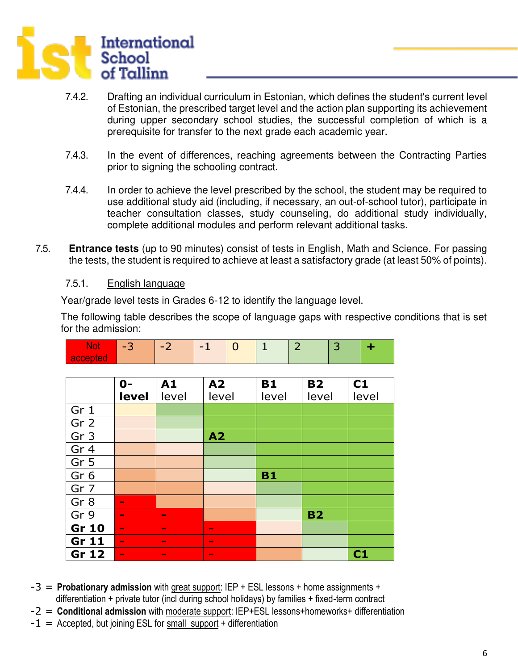

- 7.4.2. Drafting an individual curriculum in Estonian, which defines the student's current level of Estonian, the prescribed target level and the action plan supporting its achievement during upper secondary school studies, the successful completion of which is a prerequisite for transfer to the next grade each academic year.
- 7.4.3. In the event of differences, reaching agreements between the Contracting Parties prior to signing the schooling contract.
- 7.4.4. In order to achieve the level prescribed by the school, the student may be required to use additional study aid (including, if necessary, an out-of-school tutor), participate in teacher consultation classes, study counseling, do additional study individually, complete additional modules and perform relevant additional tasks.
- 7.5. **Entrance tests** (up to 90 minutes) consist of tests in English, Math and Science. For passing the tests, the student is required to achieve at least a satisfactory grade (at least 50% of points).

#### 7.5.1. English language

Year/grade level tests in Grades 6-12 to identify the language level.

The following table describes the scope of language gaps with respective conditions that is set for the admission:

| <b>INUL</b><br>accepted | <b>C-L</b>     | ΞZ.            | - 11           | υ         | л.        | $\angle$  | ت  | T     |
|-------------------------|----------------|----------------|----------------|-----------|-----------|-----------|----|-------|
|                         |                |                |                |           |           |           |    |       |
|                         | $0 -$          | A1<br>A2       |                | <b>B1</b> | <b>B2</b> |           | C1 |       |
|                         | level          | level          |                | level     |           | level     |    | level |
| Gr 1                    |                |                |                |           |           |           |    |       |
| Gr <sub>2</sub>         |                |                |                |           |           |           |    |       |
| Gr <sub>3</sub>         |                |                | A2             |           |           |           |    |       |
| Gr 4                    |                |                |                |           |           |           |    |       |
| Gr <sub>5</sub>         |                |                |                |           |           |           |    |       |
| Gr <sub>6</sub>         |                |                |                |           | <b>B1</b> |           |    |       |
| Gr 7                    |                |                |                |           |           |           |    |       |
| Gr <sub>8</sub>         | $\blacksquare$ |                |                |           |           |           |    |       |
| Gr 9                    | $\blacksquare$ | $\blacksquare$ |                |           |           | <b>B2</b> |    |       |
| <b>Gr 10</b>            | $\blacksquare$ | $\blacksquare$ | $\blacksquare$ |           |           |           |    |       |
| Gr 11                   | $\blacksquare$ | $\blacksquare$ | $\blacksquare$ |           |           |           |    |       |
| Gr 12                   | $\blacksquare$ | $\blacksquare$ | $\blacksquare$ |           |           |           |    | C1    |

**Not 2** -3 -2 -1 0 1 2 3 **+** 

- -3 = **Probationary admission** with great support: IEP + ESL lessons + home assignments + differentiation + private tutor (incl during school holidays) by families + fixed-term contract
- -2 = **Conditional admission** with moderate support: IEP+ESL lessons+homeworks+ differentiation
- $-1$  = Accepted, but joining ESL for small support + differentiation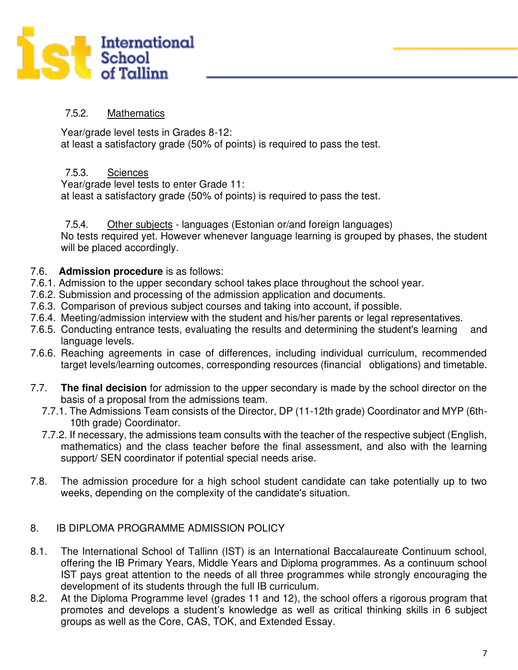

## 7.5.2. Mathematics

Year/grade level tests in Grades 8-12: at least a satisfactory grade (50% of points) is required to pass the test.

## 7.5.3. Sciences

Year/grade level tests to enter Grade 11: at least a satisfactory grade (50% of points) is required to pass the test.

#### 7.5.4. Other subjects - languages (Estonian or/and foreign languages)

No tests required yet. However whenever language learning is grouped by phases, the student will be placed accordingly.

## 7.6. **Admission procedure** is as follows:

- 7.6.1. Admission to the upper secondary school takes place throughout the school year.
- 7.6.2. Submission and processing of the admission application and documents.
- 7.6.3. Comparison of previous subject courses and taking into account, if possible.
- 7.6.4. Meeting/admission interview with the student and his/her parents or legal representatives.
- 7.6.5. Conducting entrance tests, evaluating the results and determining the student's learning and language levels.
- 7.6.6. Reaching agreements in case of differences, including individual curriculum, recommended target levels/learning outcomes, corresponding resources (financial obligations) and timetable.
- 7.7. **The final decision** for admission to the upper secondary is made by the school director on the basis of a proposal from the admissions team.
	- 7.7.1. The Admissions Team consists of the Director, DP (11-12th grade) Coordinator and MYP (6th- 10th grade) Coordinator.
	- 7.7.2. If necessary, the admissions team consults with the teacher of the respective subject (English, mathematics) and the class teacher before the final assessment, and also with the learning support/ SEN coordinator if potential special needs arise.
- 7.8. The admission procedure for a high school student candidate can take potentially up to two weeks, depending on the complexity of the candidate's situation.

## 8. IB DIPLOMA PROGRAMME ADMISSION POLICY

- 8.1. The International School of Tallinn (IST) is an International Baccalaureate Continuum school, offering the IB Primary Years, Middle Years and Diploma programmes. As a continuum school IST pays great attention to the needs of all three programmes while strongly encouraging the development of its students through the full IB curriculum.
- 8.2. At the Diploma Programme level (grades 11 and 12), the school offers a rigorous program that promotes and develops a student's knowledge as well as critical thinking skills in 6 subject groups as well as the Core, CAS, TOK, and Extended Essay.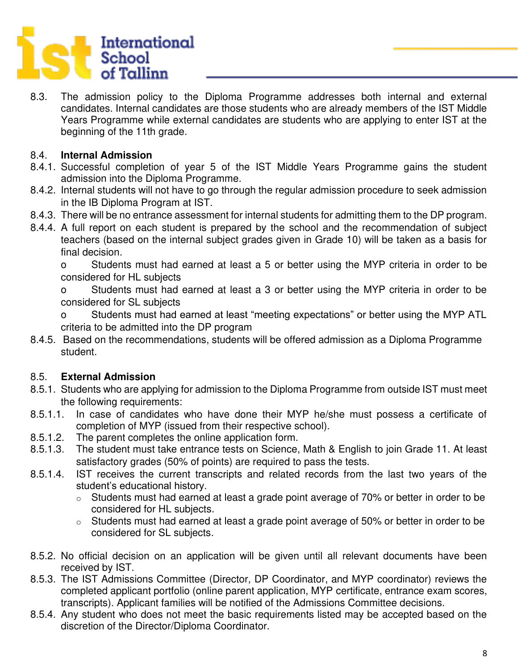

8.3. The admission policy to the Diploma Programme addresses both internal and external candidates. Internal candidates are those students who are already members of the IST Middle Years Programme while external candidates are students who are applying to enter IST at the beginning of the 11th grade.

## 8.4. **Internal Admission**

- 8.4.1. Successful completion of year 5 of the IST Middle Years Programme gains the student admission into the Diploma Programme.
- 8.4.2. Internal students will not have to go through the regular admission procedure to seek admission in the IB Diploma Program at IST.
- 8.4.3. There will be no entrance assessment for internal students for admitting them to the DP program.
- 8.4.4. A full report on each student is prepared by the school and the recommendation of subject teachers (based on the internal subject grades given in Grade 10) will be taken as a basis for final decision.

o Students must had earned at least a 5 or better using the MYP criteria in order to be considered for HL subjects

o Students must had earned at least a 3 or better using the MYP criteria in order to be considered for SL subjects

o Students must had earned at least "meeting expectations" or better using the MYP ATL criteria to be admitted into the DP program

8.4.5. Based on the recommendations, students will be offered admission as a Diploma Programme student.

## 8.5. **External Admission**

- 8.5.1. Students who are applying for admission to the Diploma Programme from outside IST must meet the following requirements:
- 8.5.1.1. In case of candidates who have done their MYP he/she must possess a certificate of completion of MYP (issued from their respective school).
- 8.5.1.2. The parent completes the online application form.
- 8.5.1.3. The student must take entrance tests on Science, Math & English to join Grade 11. At least satisfactory grades (50% of points) are required to pass the tests.
- 8.5.1.4. IST receives the current transcripts and related records from the last two years of the student's educational history.
	- o Students must had earned at least a grade point average of 70% or better in order to be considered for HL subjects.
	- o Students must had earned at least a grade point average of 50% or better in order to be considered for SL subjects.
- 8.5.2. No official decision on an application will be given until all relevant documents have been received by IST.
- 8.5.3. The IST Admissions Committee (Director, DP Coordinator, and MYP coordinator) reviews the completed applicant portfolio (online parent application, MYP certificate, entrance exam scores, transcripts). Applicant families will be notified of the Admissions Committee decisions.
- 8.5.4. Any student who does not meet the basic requirements listed may be accepted based on the discretion of the Director/Diploma Coordinator.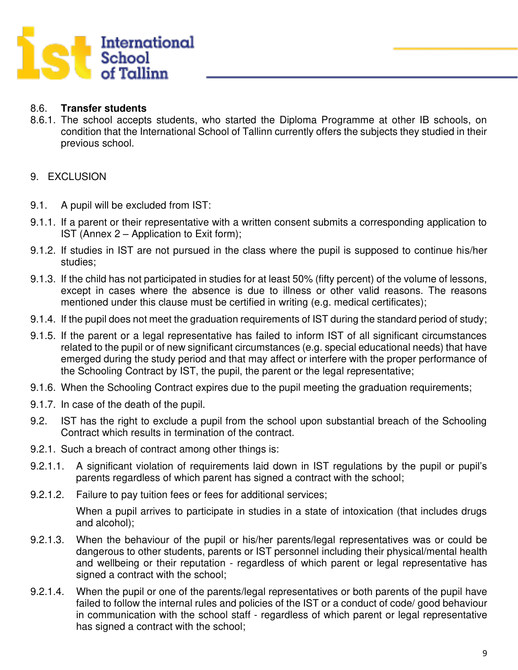

## 8.6. **Transfer students**

8.6.1. The school accepts students, who started the Diploma Programme at other IB schools, on condition that the International School of Tallinn currently offers the subjects they studied in their previous school.

## 9. EXCLUSION

- 9.1. A pupil will be excluded from IST:
- 9.1.1. If a parent or their representative with a written consent submits a corresponding application to IST (Annex 2 – Application to Exit form);
- 9.1.2. If studies in IST are not pursued in the class where the pupil is supposed to continue his/her studies;
- 9.1.3. If the child has not participated in studies for at least 50% (fifty percent) of the volume of lessons, except in cases where the absence is due to illness or other valid reasons. The reasons mentioned under this clause must be certified in writing (e.g. medical certificates);
- 9.1.4. If the pupil does not meet the graduation requirements of IST during the standard period of study;
- 9.1.5. If the parent or a legal representative has failed to inform IST of all significant circumstances related to the pupil or of new significant circumstances (e.g. special educational needs) that have emerged during the study period and that may affect or interfere with the proper performance of the Schooling Contract by IST, the pupil, the parent or the legal representative;
- 9.1.6. When the Schooling Contract expires due to the pupil meeting the graduation requirements;
- 9.1.7. In case of the death of the pupil.
- 9.2. IST has the right to exclude a pupil from the school upon substantial breach of the Schooling Contract which results in termination of the contract.
- 9.2.1. Such a breach of contract among other things is:
- 9.2.1.1. A significant violation of requirements laid down in IST regulations by the pupil or pupil's parents regardless of which parent has signed a contract with the school;
- 9.2.1.2. Failure to pay tuition fees or fees for additional services;

When a pupil arrives to participate in studies in a state of intoxication (that includes drugs and alcohol);

- 9.2.1.3. When the behaviour of the pupil or his/her parents/legal representatives was or could be dangerous to other students, parents or IST personnel including their physical/mental health and wellbeing or their reputation - regardless of which parent or legal representative has signed a contract with the school;
- 9.2.1.4. When the pupil or one of the parents/legal representatives or both parents of the pupil have failed to follow the internal rules and policies of the IST or a conduct of code/ good behaviour in communication with the school staff - regardless of which parent or legal representative has signed a contract with the school;